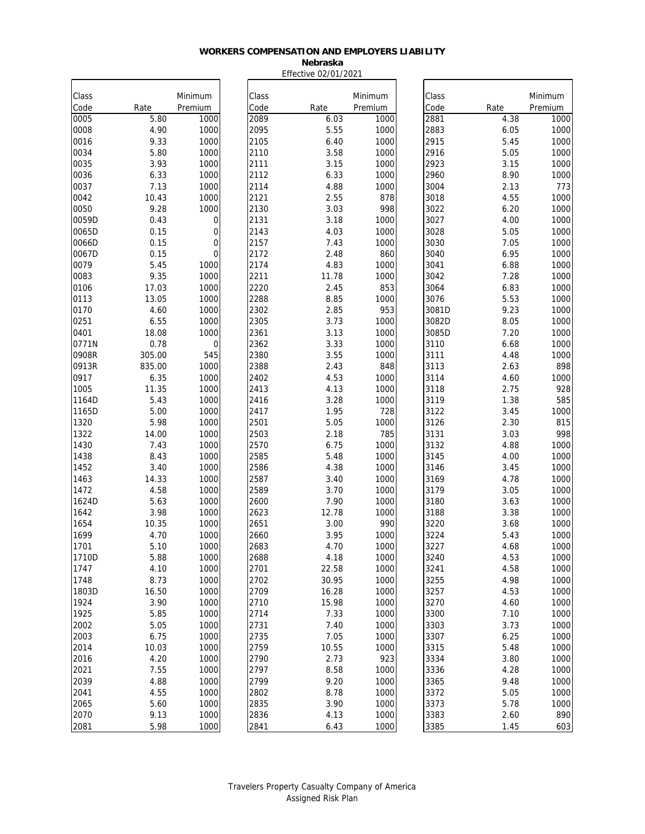#### **Nebraska** Effective 02/01/2021

| Class        |               | Minimum        | Class        |              | Minimum     | Class        |              | Minimum    |
|--------------|---------------|----------------|--------------|--------------|-------------|--------------|--------------|------------|
| Code         | Rate          | Premium        | Code         | Rate         | Premium     | Code         | Rate         | Premium    |
| 0005         | 5.80          | 1000           | 2089         | 6.03         | 1000        | 2881         | 4.38         | 1000       |
| 0008         | 4.90          | 1000           | 2095         | 5.55         | 1000        | 2883         | 6.05         | 1000       |
| 0016         | 9.33          | 1000           | 2105         | 6.40         | 1000        | 2915         | 5.45         | 1000       |
| 0034         | 5.80          | 1000           | 2110         | 3.58         | 1000        | 2916         | 5.05         | 1000       |
| 0035         | 3.93          | 1000           | 2111         | 3.15         | 1000        | 2923         | 3.15         | 1000       |
| 0036         | 6.33          | 1000           | 2112         | 6.33         | 1000        | 2960         | 8.90         | 1000       |
| 0037         | 7.13          | 1000           | 2114         | 4.88         | 1000        | 3004         | 2.13         | 773        |
| 0042         | 10.43         | 1000           | 2121         | 2.55         | 878         | 3018         | 4.55         | 1000       |
| 0050         | 9.28          | 1000           | 2130         | 3.03         | 998         | 3022         | 6.20         | 1000       |
| 0059D        | 0.43          | 0              | 2131         | 3.18         | 1000        | 3027         | 4.00         | 1000       |
| 0065D        | 0.15          | 0              | 2143         | 4.03         | 1000        | 3028         | 5.05         | 1000       |
| 0066D        | 0.15          | $\mathbf 0$    | 2157         | 7.43         | 1000        | 3030         | 7.05         | 1000       |
| 0067D        | 0.15          | $\overline{0}$ | 2172         | 2.48         | 860         | 3040         | 6.95         | 1000       |
| 0079         | 5.45          | 1000           | 2174         | 4.83         | 1000        | 3041         | 6.88         | 1000       |
| 0083         | 9.35          | 1000           | 2211         | 11.78        | 1000        | 3042         | 7.28         | 1000       |
| 0106         | 17.03         | 1000           | 2220         | 2.45         | 853         | 3064         | 6.83         | 1000       |
| 0113         | 13.05         | 1000           | 2288         | 8.85         | 1000        | 3076         | 5.53         | 1000       |
| 0170         | 4.60          | 1000           | 2302         | 2.85         | 953         | 3081D        | 9.23         | 1000       |
| 0251         | 6.55          | 1000           | 2305         | 3.73         | 1000        | 3082D        | 8.05         | 1000       |
| 0401         | 18.08         | 1000           | 2361         | 3.13         | 1000        | 3085D        | 7.20         | 1000       |
| 0771N        | 0.78          | 0              | 2362         | 3.33         | 1000        | 3110         | 6.68         | 1000       |
| 0908R        | 305.00        | 545            | 2380         | 3.55         | 1000        | 3111         | 4.48         | 1000       |
| 0913R        | 835.00        | 1000           | 2388         | 2.43         | 848         | 3113         | 2.63         | 898        |
| 0917         | 6.35          | 1000           | 2402         | 4.53         | 1000        | 3114         | 4.60         | 1000       |
| 1005         | 11.35         | 1000           | 2413         | 4.13         | 1000        | 3118         | 2.75         | 928        |
| 1164D        | 5.43          | 1000           | 2416         | 3.28         | 1000        | 3119         | 1.38         | 585        |
| 1165D        | 5.00          | 1000           | 2417         | 1.95         | 728         | 3122         | 3.45         | 1000       |
| 1320         | 5.98<br>14.00 | 1000<br>1000   | 2501<br>2503 | 5.05         | 1000<br>785 | 3126         | 2.30<br>3.03 | 815<br>998 |
| 1322<br>1430 | 7.43          | 1000           | 2570         | 2.18<br>6.75 | 1000        | 3131<br>3132 | 4.88         | 1000       |
| 1438         | 8.43          | 1000           | 2585         | 5.48         | 1000        | 3145         | 4.00         | 1000       |
| 1452         | 3.40          | 1000           | 2586         | 4.38         | 1000        | 3146         | 3.45         | 1000       |
| 1463         | 14.33         | 1000           | 2587         | 3.40         | 1000        | 3169         | 4.78         | 1000       |
| 1472         | 4.58          | 1000           | 2589         | 3.70         | 1000        | 3179         | 3.05         | 1000       |
| 1624D        | 5.63          | 1000           | 2600         | 7.90         | 1000        | 3180         | 3.63         | 1000       |
| 1642         | 3.98          | 1000           | 2623         | 12.78        | 1000        | 3188         | 3.38         | 1000       |
| 1654         | 10.35         | 1000           | 2651         | 3.00         | 990         | 3220         | 3.68         | 1000       |
| 1699         | 4.70          | 1000           | 2660         | 3.95         | 1000        | 3224         | 5.43         | 1000       |
| 1701         | 5.10          | 1000           | 2683         | 4.70         | 1000        | 3227         | 4.68         | 1000       |
| 1710D        | 5.88          | 1000           | 2688         | 4.18         | 1000        | 3240         | 4.53         | 1000       |
| 1747         | 4.10          | 1000           | 2701         | 22.58        | 1000        | 3241         | 4.58         | 1000       |
| 1748         | 8.73          | 1000           | 2702         | 30.95        | 1000        | 3255         | 4.98         | 1000       |
| 1803D        | 16.50         | 1000           | 2709         | 16.28        | 1000        | 3257         | 4.53         | 1000       |
| 1924         | 3.90          | 1000           | 2710         | 15.98        | 1000        | 3270         | 4.60         | 1000       |
| 1925         | 5.85          | 1000           | 2714         | 7.33         | 1000        | 3300         | 7.10         | 1000       |
| 2002         | 5.05          | 1000           | 2731         | 7.40         | 1000        | 3303         | 3.73         | 1000       |
| 2003         | 6.75          | 1000           | 2735         | 7.05         | 1000        | 3307         | 6.25         | 1000       |
| 2014         | 10.03         | 1000           | 2759         | 10.55        | 1000        | 3315         | 5.48         | 1000       |
| 2016         | 4.20          | 1000           | 2790         | 2.73         | 923         | 3334         | 3.80         | 1000       |
| 2021         | 7.55          | 1000           | 2797         | 8.58         | 1000        | 3336         | 4.28         | 1000       |
| 2039         | 4.88          | 1000           | 2799         | 9.20         | 1000        | 3365         | 9.48         | 1000       |
| 2041         | 4.55          | 1000           | 2802         | 8.78         | 1000        | 3372         | 5.05         | 1000       |
| 2065         | 5.60          | 1000           | 2835         | 3.90         | 1000        | 3373         | 5.78         | 1000       |
| 2070         | 9.13          | 1000           | 2836         | 4.13         | 1000        | 3383         | 2.60         | 890        |
| 2081         | 5.98          | 1000           | 2841         | 6.43         | 1000        | 3385         | 1.45         | 603        |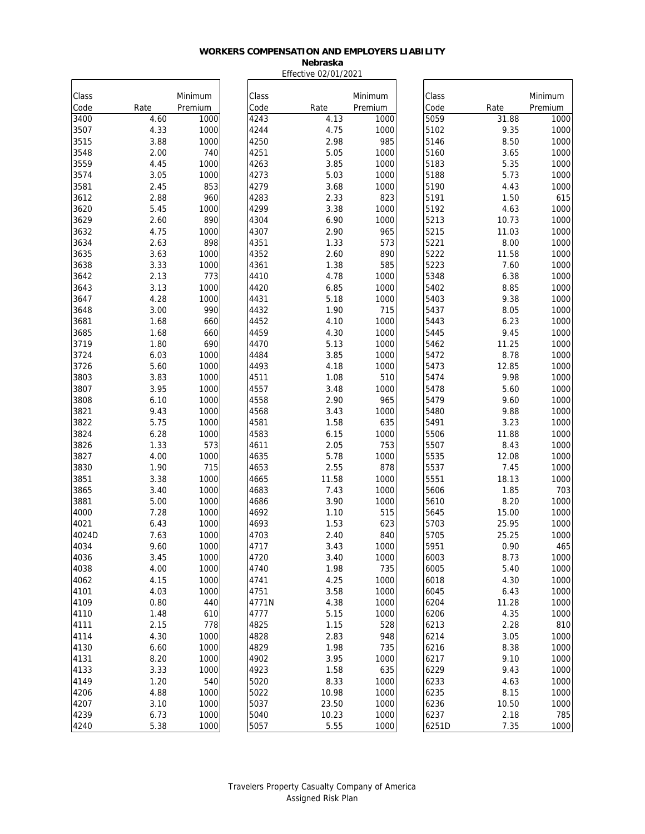#### **Nebraska** Effective 02/01/2021

| Class        |              | Minimum      | Class         |              | Minimum      | Class        |               | Minimum      |
|--------------|--------------|--------------|---------------|--------------|--------------|--------------|---------------|--------------|
| Code         | Rate         | Premium      | Code          | Rate         | Premium      | Code         | Rate          | Premium      |
| 3400         | 4.60         | 1000         | 4243          | 4.13         | 1000         | 5059         | 31.88         | 1000         |
| 3507         | 4.33         | 1000         | 4244          | 4.75         | 1000         | 5102         | 9.35          | 1000         |
| 3515         | 3.88         | 1000         | 4250          | 2.98         | 985          | 5146         | 8.50          | 1000         |
| 3548         | 2.00         | 740          | 4251          | 5.05         | 1000         | 5160         | 3.65          | 1000         |
| 3559         | 4.45         | 1000         | 4263          | 3.85         | 1000         | 5183         | 5.35          | 1000         |
| 3574         | 3.05         | 1000         | 4273          | 5.03         | 1000         | 5188         | 5.73          | 1000         |
| 3581         | 2.45         | 853          | 4279          | 3.68         | 1000         | 5190         | 4.43          | 1000         |
| 3612         | 2.88         | 960          | 4283          | 2.33         | 823          | 5191         | 1.50          | 615          |
| 3620         | 5.45         | 1000         | 4299          | 3.38         | 1000         | 5192         | 4.63          | 1000         |
| 3629         | 2.60         | 890          | 4304          | 6.90         | 1000         | 5213         | 10.73         | 1000         |
| 3632         | 4.75         | 1000         | 4307          | 2.90         | 965          | 5215         | 11.03         | 1000         |
| 3634         | 2.63         | 898          | 4351          | 1.33         | 573          | 5221         | 8.00          | 1000         |
| 3635         | 3.63         | 1000         | 4352          | 2.60         | 890          | 5222         | 11.58         | 1000         |
| 3638         | 3.33         | 1000         | 4361          | 1.38         | 585          | 5223         | 7.60          | 1000         |
| 3642         | 2.13         | 773          | 4410          | 4.78         | 1000         | 5348         | 6.38          | 1000         |
| 3643         | 3.13         | 1000         | 4420          | 6.85         | 1000         | 5402         | 8.85          | 1000         |
| 3647         | 4.28         | 1000         | 4431          | 5.18         | 1000         | 5403         | 9.38          | 1000         |
| 3648         | 3.00         | 990          | 4432          | 1.90         | 715          | 5437         | 8.05          | 1000         |
| 3681         | 1.68         | 660          | 4452          | 4.10         | 1000         | 5443         | 6.23          | 1000         |
| 3685         | 1.68         | 660          | 4459          | 4.30         | 1000         | 5445         | 9.45          | 1000         |
| 3719         | 1.80         | 690          | 4470          | 5.13         | 1000         | 5462         | 11.25         | 1000         |
| 3724         | 6.03         | 1000         | 4484          | 3.85         | 1000         | 5472         | 8.78          | 1000         |
| 3726         | 5.60         | 1000         | 4493          | 4.18         | 1000         | 5473         | 12.85         | 1000         |
| 3803         | 3.83         | 1000         | 4511          | 1.08         | 510          | 5474         | 9.98          | 1000         |
| 3807         | 3.95         | 1000         | 4557          | 3.48         | 1000         | 5478         | 5.60          | 1000         |
| 3808         | 6.10         | 1000         | 4558          | 2.90         | 965          | 5479         | 9.60          | 1000         |
| 3821         | 9.43         | 1000         | 4568          | 3.43         | 1000         | 5480         | 9.88          | 1000         |
| 3822         | 5.75         | 1000         | 4581          | 1.58         | 635          | 5491         | 3.23          | 1000         |
| 3824         | 6.28         | 1000         | 4583          | 6.15         | 1000         | 5506         | 11.88         | 1000         |
| 3826         | 1.33         | 573          | 4611          | 2.05         | 753          | 5507         | 8.43          | 1000         |
| 3827         | 4.00         | 1000         | 4635          | 5.78         | 1000         | 5535         | 12.08         | 1000         |
| 3830         | 1.90         | 715          | 4653          | 2.55         | 878          | 5537         | 7.45          | 1000         |
| 3851         | 3.38         | 1000         | 4665          | 11.58        | 1000         | 5551         | 18.13         | 1000         |
| 3865         | 3.40         | 1000         | 4683          | 7.43         | 1000         | 5606         | 1.85          | 703          |
| 3881<br>4000 | 5.00<br>7.28 | 1000<br>1000 | 4686<br>4692  | 3.90<br>1.10 | 1000<br>515  | 5610         | 8.20<br>15.00 | 1000<br>1000 |
| 4021         |              | 1000         | 4693          | 1.53         | 623          | 5645<br>5703 | 25.95         | 1000         |
| 4024D        | 6.43<br>7.63 | 1000         |               | 2.40         | 840          |              | 25.25         |              |
| 4034         | 9.60         | 1000         | 4703          | 3.43         | 1000         | 5705<br>5951 | 0.90          | 1000<br>465  |
| 4036         | 3.45         | 1000         | 4717<br>4720  | 3.40         | 1000         | 6003         | 8.73          | 1000         |
| 4038         | 4.00         |              | 4740          | 1.98         | 735          | 6005         | 5.40          | 1000         |
|              |              | 1000         |               |              |              |              |               |              |
| 4062         | 4.15         | 1000         | 4741          | 4.25<br>3.58 | 1000         | 6018         | 4.30          | 1000         |
| 4101<br>4109 | 4.03<br>0.80 | 1000<br>440  | 4751<br>4771N | 4.38         | 1000<br>1000 | 6045<br>6204 | 6.43<br>11.28 | 1000<br>1000 |
| 4110         | 1.48         | 610          | 4777          | 5.15         | 1000         | 6206         | 4.35          | 1000         |
| 4111         | 2.15         | 778          | 4825          | 1.15         | 528          | 6213         | 2.28          | 810          |
| 4114         | 4.30         | 1000         | 4828          | 2.83         | 948          | 6214         | 3.05          | 1000         |
| 4130         | 6.60         | 1000         | 4829          | 1.98         | 735          | 6216         | 8.38          | 1000         |
| 4131         | 8.20         | 1000         | 4902          | 3.95         | 1000         | 6217         | 9.10          | 1000         |
| 4133         | 3.33         | 1000         | 4923          | 1.58         | 635          | 6229         | 9.43          | 1000         |
| 4149         | 1.20         | 540          | 5020          | 8.33         | 1000         | 6233         | 4.63          | 1000         |
| 4206         | 4.88         | 1000         | 5022          | 10.98        | 1000         | 6235         | 8.15          | 1000         |
| 4207         | 3.10         | 1000         | 5037          | 23.50        | 1000         | 6236         | 10.50         | 1000         |
| 4239         | 6.73         | 1000         | 5040          | 10.23        | 1000         | 6237         | 2.18          | 785          |
| 4240         | 5.38         | 1000         | 5057          | 5.55         | 1000         | 6251D        | 7.35          | 1000         |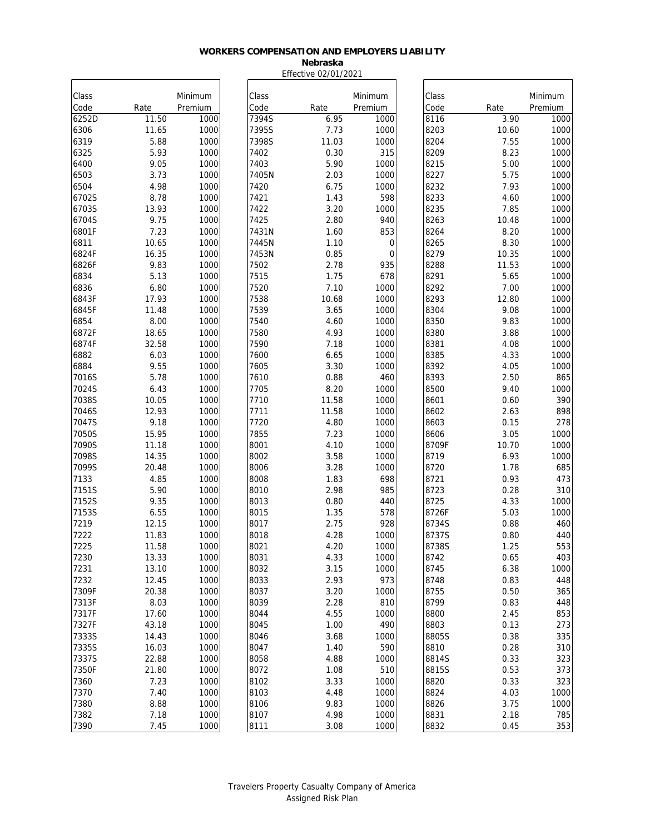#### **Nebraska** Effective 02/01/2021

| Class         |               | Minimum      | Class         |               | Minimum                    | Class        |               | Minimum      |
|---------------|---------------|--------------|---------------|---------------|----------------------------|--------------|---------------|--------------|
| Code          | Rate          | Premium      | Code          | Rate          | Premium                    | Code         | Rate          | Premium      |
| 6252D         | 11.50         | 1000         | 7394S         | 6.95          | 1000                       | 8116         | 3.90          | 1000         |
| 6306          | 11.65         | 1000         | 7395S         | 7.73          | 1000                       | 8203         | 10.60         | 1000         |
| 6319          | 5.88          | 1000         | 7398S         | 11.03         | 1000                       | 8204         | 7.55          | 1000         |
| 6325          | 5.93          | 1000         | 7402          | 0.30          | 315                        | 8209         | 8.23          | 1000         |
| 6400          | 9.05          | 1000         | 7403          | 5.90          | 1000                       | 8215         | 5.00          | 1000         |
| 6503          | 3.73          | 1000         | 7405N         | 2.03          | 1000                       | 8227         | 5.75          | 1000         |
| 6504          | 4.98          | 1000         | 7420          | 6.75          | 1000                       | 8232         | 7.93          | 1000         |
| 6702S         | 8.78          | 1000         | 7421          | 1.43          | 598                        | 8233         | 4.60          | 1000         |
| 6703S         | 13.93         | 1000         | 7422          | 3.20          | 1000                       | 8235         | 7.85          | 1000         |
| 6704S         | 9.75<br>7.23  | 1000<br>1000 | 7425<br>7431N | 2.80          | 940<br>853                 | 8263         | 10.48<br>8.20 | 1000         |
| 6801F         | 10.65         | 1000         | 7445N         | 1.60          |                            | 8264         | 8.30          | 1000<br>1000 |
| 6811          | 16.35         |              | 7453N         | 1.10<br>0.85  | $\mathbf 0$<br>$\mathbf 0$ | 8265<br>8279 | 10.35         |              |
| 6824F         | 9.83          | 1000<br>1000 | 7502          | 2.78          | 935                        | 8288         | 11.53         | 1000<br>1000 |
| 6826F         |               | 1000         | 7515          | 1.75          | 678                        |              |               | 1000         |
| 6834          | 5.13          |              |               |               |                            | 8291         | 5.65          |              |
| 6836<br>6843F | 6.80<br>17.93 | 1000<br>1000 | 7520<br>7538  | 7.10<br>10.68 | 1000<br>1000               | 8292<br>8293 | 7.00<br>12.80 | 1000<br>1000 |
|               | 11.48         | 1000         | 7539          |               | 1000                       | 8304         | 9.08          | 1000         |
| 6845F         |               | 1000         |               | 3.65          | 1000                       | 8350         | 9.83          |              |
| 6854<br>6872F | 8.00<br>18.65 | 1000         | 7540<br>7580  | 4.60<br>4.93  | 1000                       | 8380         | 3.88          | 1000<br>1000 |
|               | 32.58         | 1000         | 7590          | 7.18          | 1000                       | 8381         | 4.08          |              |
| 6874F<br>6882 | 6.03          | 1000         | 7600          | 6.65          | 1000                       | 8385         | 4.33          | 1000<br>1000 |
| 6884          | 9.55          | 1000         | 7605          | 3.30          | 1000                       | 8392         | 4.05          | 1000         |
| 7016S         | 5.78          | 1000         | 7610          | 0.88          | 460                        | 8393         | 2.50          | 865          |
| 7024S         | 6.43          | 1000         | 7705          | 8.20          | 1000                       | 8500         | 9.40          | 1000         |
| 7038S         | 10.05         | 1000         | 7710          | 11.58         | 1000                       | 8601         | 0.60          | 390          |
| 7046S         | 12.93         | 1000         | 7711          | 11.58         | 1000                       | 8602         | 2.63          | 898          |
| 7047S         | 9.18          | 1000         | 7720          | 4.80          | 1000                       | 8603         | 0.15          | 278          |
| 7050S         | 15.95         | 1000         | 7855          | 7.23          | 1000                       | 8606         | 3.05          | 1000         |
| 7090S         | 11.18         | 1000         | 8001          | 4.10          | 1000                       | 8709F        | 10.70         | 1000         |
| 7098S         | 14.35         | 1000         | 8002          | 3.58          | 1000                       | 8719         | 6.93          | 1000         |
| 7099S         | 20.48         | 1000         | 8006          | 3.28          | 1000                       | 8720         | 1.78          | 685          |
| 7133          | 4.85          | 1000         | 8008          | 1.83          | 698                        | 8721         | 0.93          | 473          |
| 7151S         | 5.90          | 1000         | 8010          | 2.98          | 985                        | 8723         | 0.28          | 310          |
| 7152S         | 9.35          | 1000         | 8013          | 0.80          | 440                        | 8725         | 4.33          | 1000         |
| 7153S         | 6.55          | 1000         | 8015          | 1.35          | 578                        | 8726F        | 5.03          | 1000         |
| 7219          | 12.15         | 1000         | 8017          | 2.75          | 928                        | 8734S        | 0.88          | 460          |
| 7222          | 11.83         | 1000         | 8018          | 4.28          | 1000                       | 8737S        | 0.80          | 440          |
| 7225          | 11.58         | 1000         | 8021          | 4.20          | 1000                       | 8738S        | 1.25          | 553          |
| 7230          | 13.33         | 1000         | 8031          | 4.33          | 1000                       | 8742         | 0.65          | 403          |
| 7231          | 13.10         | 1000         | 8032          | 3.15          | 1000                       | 8745         | 6.38          | 1000         |
| 7232          | 12.45         | 1000         | 8033          | 2.93          | 973                        | 8748         | 0.83          | 448          |
| 7309F         | 20.38         | 1000         | 8037          | 3.20          | 1000                       | 8755         | 0.50          | 365          |
| 7313F         | 8.03          | 1000         | 8039          | 2.28          | 810                        | 8799         | 0.83          | 448          |
| 7317F         | 17.60         | 1000         | 8044          | 4.55          | 1000                       | 8800         | 2.45          | 853          |
| 7327F         | 43.18         | 1000         | 8045          | 1.00          | 490                        | 8803         | 0.13          | 273          |
| 7333S         | 14.43         | 1000         | 8046          | 3.68          | 1000                       | 8805S        | 0.38          | 335          |
| 7335S         | 16.03         | 1000         | 8047          | 1.40          | 590                        | 8810         | 0.28          | 310          |
| 7337S         | 22.88         | 1000         | 8058          | 4.88          | 1000                       | 8814S        | 0.33          | 323          |
| 7350F         | 21.80         | 1000         | 8072          | 1.08          | 510                        | 8815S        | 0.53          | 373          |
| 7360          | 7.23          | 1000         | 8102          | 3.33          | 1000                       | 8820         | 0.33          | 323          |
| 7370          | 7.40          | 1000         | 8103          | 4.48          | 1000                       | 8824         | 4.03          | 1000         |
| 7380          | 8.88          | 1000         | 8106          | 9.83          | 1000                       | 8826         | 3.75          | 1000         |
| 7382          | 7.18          | 1000         | 8107          | 4.98          | 1000                       | 8831         | 2.18          | 785          |
| 7390          | 7.45          | 1000         | 8111          | 3.08          | 1000                       | 8832         | 0.45          | 353          |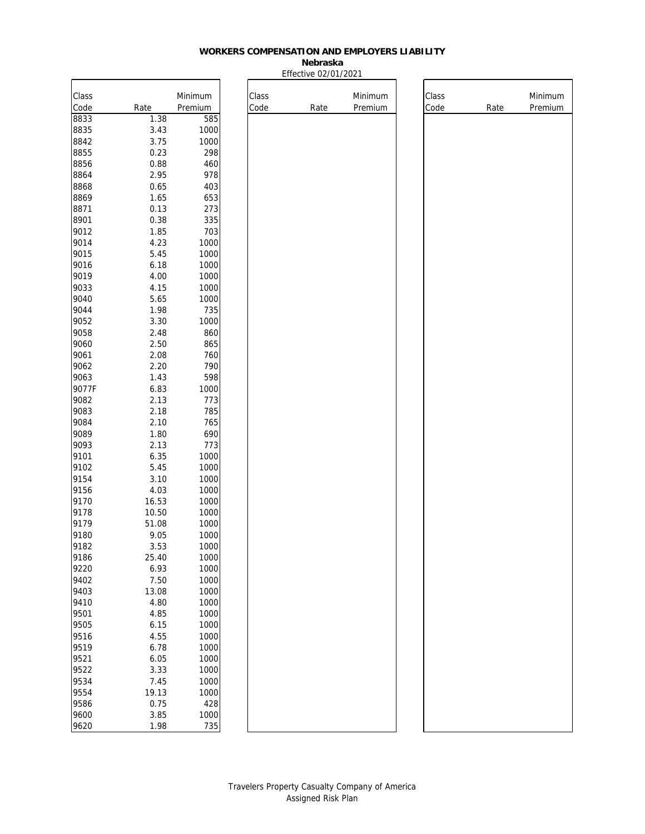**Nebraska** Effective 02/01/2021

Class

Code Rate

| Class        |                | Minimum      |
|--------------|----------------|--------------|
| Code         | Rate           | Premium      |
| 8833         | 1.38           | 585          |
| 8835         | 3.43           | 1000         |
| 8842         | 3.75           | 1000         |
| 8855         | 0.23           | 298          |
| 8856         | 0.88           | 460          |
| 8864         | 2.95           | 978          |
| 8868         | 0.65           | 403          |
| 8869         | 1.65           | 653          |
| 8871         | 0.13           | 273          |
| 8901         | 0.38           | 335          |
| 9012         | 1.85           | 703          |
| 9014         | 4.23           | 1000         |
| 9015         | 5.45           | 1000         |
| 9016         | 6.18           | 1000         |
| 9019         | 4.00           | 1000         |
| 9033         | 4.15           | 1000         |
| 9040         | 5.65           | 1000         |
| 9044         | 1.98           | 735          |
| 9052         | 3.30           | 1000         |
| 9058         | 2.48           | 860          |
| 9060         | 2.50           | 865          |
| 9061         | 2.08           | 760          |
| 9062         | 2.20           | 790          |
| 9063         | 1.43           | 598          |
| 9077F        | 6.83           | 1000         |
| 9082         | 2.13           | 773          |
| 9083         | 2.18           | 785          |
| 9084         | 2.10           | 765          |
| 9089         | 1.80           | 690          |
| 9093         | 2.13           | 773          |
| 9101         | 6.35           | 1000         |
| 9102         | 5.45           | 1000         |
| 9154<br>9156 | 3.10           | 1000         |
|              | 4.03           | 1000         |
| 9170<br>9178 | 16.53          | 1000         |
| 9179         | 10.50<br>51.08 | 1000         |
| 9180         | 9.05           | 1000<br>1000 |
| 9182         | 3.53           | 1000         |
| 9186         | 25.40          | 1000         |
| 9220         | 6.93           | 1000         |
| 9402         | 7.50           | 1000         |
| 9403         | 13.08          | 1000         |
| 9410         | 4.80           | 1000         |
| 9501         | 4.85           | 1000         |
| 9505         | 6.15           | 1000         |
| 9516         | 4.55           | 1000         |
| 9519         | 6.78           | 1000         |
| 9521         | 6.05           | 1000         |
| 9522         | 3.33           | 1000         |
| 9534         | 7.45           | 1000         |
| 9554         | 19.13          | 1000         |
| 9586         | 0.75           | 428          |
| 9600         | 3.85           | 1000         |
| 9620         | 1.98           | 735          |

| <u>)21</u>         |               |      |                    |
|--------------------|---------------|------|--------------------|
| Minimum<br>Premium | Class<br>Code | Rate | Minimum<br>Premium |
|                    |               |      |                    |
|                    |               |      |                    |
|                    |               |      |                    |
|                    |               |      |                    |
|                    |               |      |                    |
|                    |               |      |                    |
|                    |               |      |                    |
|                    |               |      |                    |
|                    |               |      |                    |
|                    |               |      |                    |
|                    |               |      |                    |
|                    |               |      |                    |
|                    |               |      |                    |
|                    |               |      |                    |
|                    |               |      |                    |
|                    |               |      |                    |
|                    |               |      |                    |
|                    |               |      |                    |
|                    |               |      |                    |
|                    |               |      |                    |
|                    |               |      |                    |